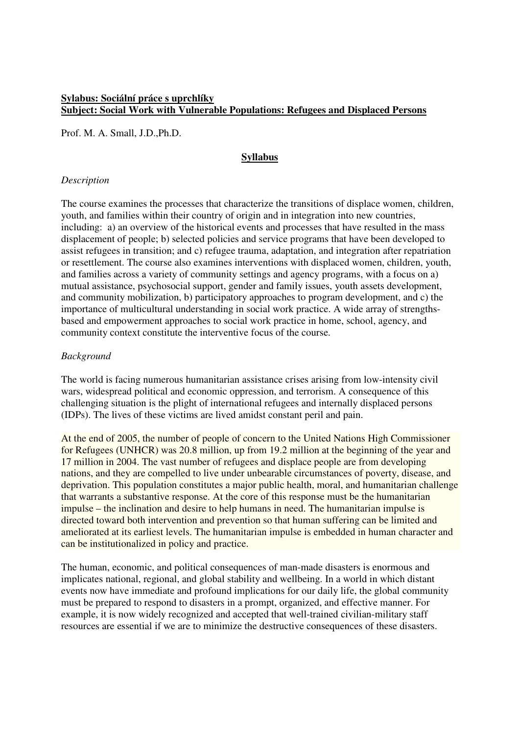# **Sylabus: Sociální práce s uprchlíky Subject: Social Work with Vulnerable Populations: Refugees and Displaced Persons**

Prof. M. A. Small, J.D.,Ph.D.

# **Syllabus**

### *Description*

The course examines the processes that characterize the transitions of displace women, children, youth, and families within their country of origin and in integration into new countries, including: a) an overview of the historical events and processes that have resulted in the mass displacement of people; b) selected policies and service programs that have been developed to assist refugees in transition; and c) refugee trauma, adaptation, and integration after repatriation or resettlement. The course also examines interventions with displaced women, children, youth, and families across a variety of community settings and agency programs, with a focus on a) mutual assistance, psychosocial support, gender and family issues, youth assets development, and community mobilization, b) participatory approaches to program development, and c) the importance of multicultural understanding in social work practice. A wide array of strengthsbased and empowerment approaches to social work practice in home, school, agency, and community context constitute the interventive focus of the course.

### *Background*

The world is facing numerous humanitarian assistance crises arising from low-intensity civil wars, widespread political and economic oppression, and terrorism. A consequence of this challenging situation is the plight of international refugees and internally displaced persons (IDPs). The lives of these victims are lived amidst constant peril and pain.

At the end of 2005, the number of people of concern to the United Nations High Commissioner for Refugees (UNHCR) was 20.8 million, up from 19.2 million at the beginning of the year and 17 million in 2004. The vast number of refugees and displace people are from developing nations, and they are compelled to live under unbearable circumstances of poverty, disease, and deprivation. This population constitutes a major public health, moral, and humanitarian challenge that warrants a substantive response. At the core of this response must be the humanitarian impulse – the inclination and desire to help humans in need. The humanitarian impulse is directed toward both intervention and prevention so that human suffering can be limited and ameliorated at its earliest levels. The humanitarian impulse is embedded in human character and can be institutionalized in policy and practice.

The human, economic, and political consequences of man-made disasters is enormous and implicates national, regional, and global stability and wellbeing. In a world in which distant events now have immediate and profound implications for our daily life, the global community must be prepared to respond to disasters in a prompt, organized, and effective manner. For example, it is now widely recognized and accepted that well-trained civilian-military staff resources are essential if we are to minimize the destructive consequences of these disasters.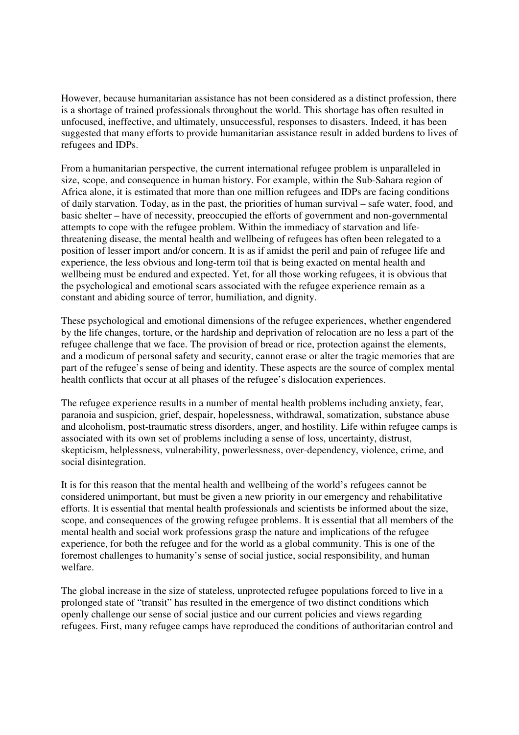However, because humanitarian assistance has not been considered as a distinct profession, there is a shortage of trained professionals throughout the world. This shortage has often resulted in unfocused, ineffective, and ultimately, unsuccessful, responses to disasters. Indeed, it has been suggested that many efforts to provide humanitarian assistance result in added burdens to lives of refugees and IDPs.

From a humanitarian perspective, the current international refugee problem is unparalleled in size, scope, and consequence in human history. For example, within the Sub-Sahara region of Africa alone, it is estimated that more than one million refugees and IDPs are facing conditions of daily starvation. Today, as in the past, the priorities of human survival – safe water, food, and basic shelter – have of necessity, preoccupied the efforts of government and non-governmental attempts to cope with the refugee problem. Within the immediacy of starvation and lifethreatening disease, the mental health and wellbeing of refugees has often been relegated to a position of lesser import and/or concern. It is as if amidst the peril and pain of refugee life and experience, the less obvious and long-term toil that is being exacted on mental health and wellbeing must be endured and expected. Yet, for all those working refugees, it is obvious that the psychological and emotional scars associated with the refugee experience remain as a constant and abiding source of terror, humiliation, and dignity.

These psychological and emotional dimensions of the refugee experiences, whether engendered by the life changes, torture, or the hardship and deprivation of relocation are no less a part of the refugee challenge that we face. The provision of bread or rice, protection against the elements, and a modicum of personal safety and security, cannot erase or alter the tragic memories that are part of the refugee's sense of being and identity. These aspects are the source of complex mental health conflicts that occur at all phases of the refugee's dislocation experiences.

The refugee experience results in a number of mental health problems including anxiety, fear, paranoia and suspicion, grief, despair, hopelessness, withdrawal, somatization, substance abuse and alcoholism, post-traumatic stress disorders, anger, and hostility. Life within refugee camps is associated with its own set of problems including a sense of loss, uncertainty, distrust, skepticism, helplessness, vulnerability, powerlessness, over-dependency, violence, crime, and social disintegration.

It is for this reason that the mental health and wellbeing of the world's refugees cannot be considered unimportant, but must be given a new priority in our emergency and rehabilitative efforts. It is essential that mental health professionals and scientists be informed about the size, scope, and consequences of the growing refugee problems. It is essential that all members of the mental health and social work professions grasp the nature and implications of the refugee experience, for both the refugee and for the world as a global community. This is one of the foremost challenges to humanity's sense of social justice, social responsibility, and human welfare.

The global increase in the size of stateless, unprotected refugee populations forced to live in a prolonged state of "transit" has resulted in the emergence of two distinct conditions which openly challenge our sense of social justice and our current policies and views regarding refugees. First, many refugee camps have reproduced the conditions of authoritarian control and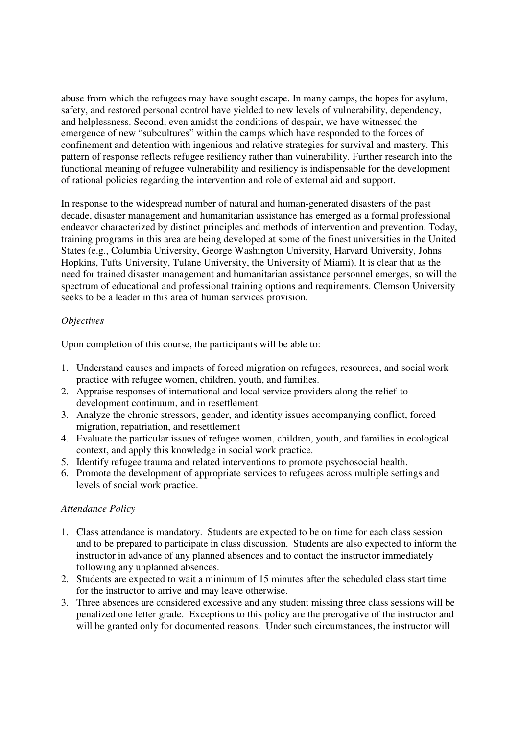abuse from which the refugees may have sought escape. In many camps, the hopes for asylum, safety, and restored personal control have yielded to new levels of vulnerability, dependency, and helplessness. Second, even amidst the conditions of despair, we have witnessed the emergence of new "subcultures" within the camps which have responded to the forces of confinement and detention with ingenious and relative strategies for survival and mastery. This pattern of response reflects refugee resiliency rather than vulnerability. Further research into the functional meaning of refugee vulnerability and resiliency is indispensable for the development of rational policies regarding the intervention and role of external aid and support.

In response to the widespread number of natural and human-generated disasters of the past decade, disaster management and humanitarian assistance has emerged as a formal professional endeavor characterized by distinct principles and methods of intervention and prevention. Today, training programs in this area are being developed at some of the finest universities in the United States (e.g., Columbia University, George Washington University, Harvard University, Johns Hopkins, Tufts University, Tulane University, the University of Miami). It is clear that as the need for trained disaster management and humanitarian assistance personnel emerges, so will the spectrum of educational and professional training options and requirements. Clemson University seeks to be a leader in this area of human services provision.

### *Objectives*

Upon completion of this course, the participants will be able to:

- 1. Understand causes and impacts of forced migration on refugees, resources, and social work practice with refugee women, children, youth, and families.
- 2. Appraise responses of international and local service providers along the relief-todevelopment continuum, and in resettlement.
- 3. Analyze the chronic stressors, gender, and identity issues accompanying conflict, forced migration, repatriation, and resettlement
- 4. Evaluate the particular issues of refugee women, children, youth, and families in ecological context, and apply this knowledge in social work practice.
- 5. Identify refugee trauma and related interventions to promote psychosocial health.
- 6. Promote the development of appropriate services to refugees across multiple settings and levels of social work practice.

#### *Attendance Policy*

- 1. Class attendance is mandatory. Students are expected to be on time for each class session and to be prepared to participate in class discussion. Students are also expected to inform the instructor in advance of any planned absences and to contact the instructor immediately following any unplanned absences.
- 2. Students are expected to wait a minimum of 15 minutes after the scheduled class start time for the instructor to arrive and may leave otherwise.
- 3. Three absences are considered excessive and any student missing three class sessions will be penalized one letter grade. Exceptions to this policy are the prerogative of the instructor and will be granted only for documented reasons. Under such circumstances, the instructor will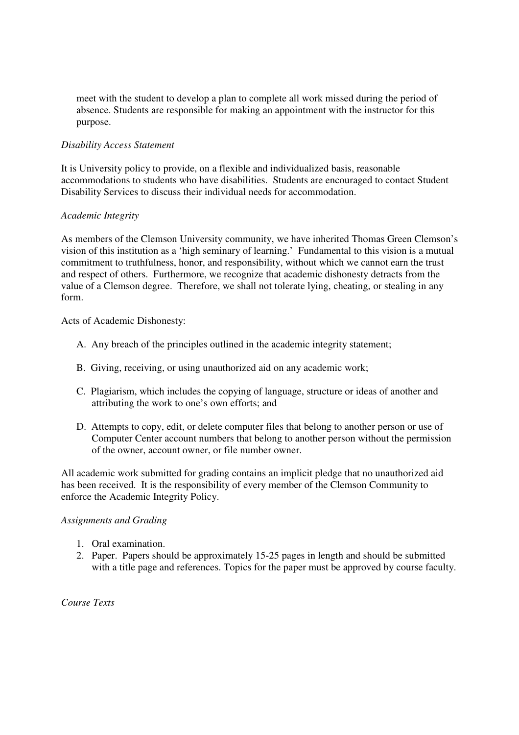meet with the student to develop a plan to complete all work missed during the period of absence. Students are responsible for making an appointment with the instructor for this purpose.

### *Disability Access Statement*

It is University policy to provide, on a flexible and individualized basis, reasonable accommodations to students who have disabilities. Students are encouraged to contact Student Disability Services to discuss their individual needs for accommodation.

### *Academic Integrity*

As members of the Clemson University community, we have inherited Thomas Green Clemson's vision of this institution as a 'high seminary of learning.' Fundamental to this vision is a mutual commitment to truthfulness, honor, and responsibility, without which we cannot earn the trust and respect of others. Furthermore, we recognize that academic dishonesty detracts from the value of a Clemson degree. Therefore, we shall not tolerate lying, cheating, or stealing in any form.

Acts of Academic Dishonesty:

- A. Any breach of the principles outlined in the academic integrity statement;
- B. Giving, receiving, or using unauthorized aid on any academic work;
- C. Plagiarism, which includes the copying of language, structure or ideas of another and attributing the work to one's own efforts; and
- D. Attempts to copy, edit, or delete computer files that belong to another person or use of Computer Center account numbers that belong to another person without the permission of the owner, account owner, or file number owner.

All academic work submitted for grading contains an implicit pledge that no unauthorized aid has been received. It is the responsibility of every member of the Clemson Community to enforce the Academic Integrity Policy.

### *Assignments and Grading*

- 1. Oral examination.
- 2. Paper. Papers should be approximately 15-25 pages in length and should be submitted with a title page and references. Topics for the paper must be approved by course faculty.

*Course Texts*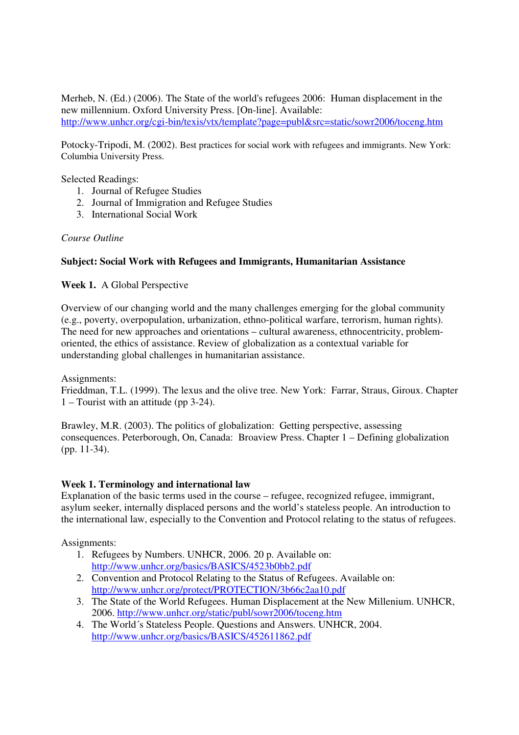Merheb, N. (Ed.) (2006). The State of the world's refugees 2006: Human displacement in the new millennium. Oxford University Press. [On-line]. Available: http://www.unhcr.org/cgi-bin/texis/vtx/template?page=publ&src=static/sowr2006/toceng.htm

Potocky-Tripodi, M. (2002). Best practices for social work with refugees and immigrants. New York: Columbia University Press.

Selected Readings:

- 1. Journal of Refugee Studies
- 2. Journal of Immigration and Refugee Studies
- 3. International Social Work

# *Course Outline*

# **Subject: Social Work with Refugees and Immigrants, Humanitarian Assistance**

# **Week 1.** A Global Perspective

Overview of our changing world and the many challenges emerging for the global community (e.g., poverty, overpopulation, urbanization, ethno-political warfare, terrorism, human rights). The need for new approaches and orientations – cultural awareness, ethnocentricity, problemoriented, the ethics of assistance. Review of globalization as a contextual variable for understanding global challenges in humanitarian assistance.

Assignments:

Frieddman, T.L. (1999). The lexus and the olive tree. New York: Farrar, Straus, Giroux. Chapter 1 – Tourist with an attitude (pp 3-24).

Brawley, M.R. (2003). The politics of globalization: Getting perspective, assessing consequences. Peterborough, On, Canada: Broaview Press. Chapter 1 – Defining globalization (pp. 11-34).

### **Week 1. Terminology and international law**

Explanation of the basic terms used in the course – refugee, recognized refugee, immigrant, asylum seeker, internally displaced persons and the world's stateless people. An introduction to the international law, especially to the Convention and Protocol relating to the status of refugees.

Assignments:

- 1. Refugees by Numbers. UNHCR, 2006. 20 p. Available on: http://www.unhcr.org/basics/BASICS/4523b0bb2.pdf
- 2. Convention and Protocol Relating to the Status of Refugees. Available on: http://www.unhcr.org/protect/PROTECTION/3b66c2aa10.pdf
- 3. The State of the World Refugees. Human Displacement at the New Millenium. UNHCR, 2006. http://www.unhcr.org/static/publ/sowr2006/toceng.htm
- 4. The World´s Stateless People. Questions and Answers. UNHCR, 2004. http://www.unhcr.org/basics/BASICS/452611862.pdf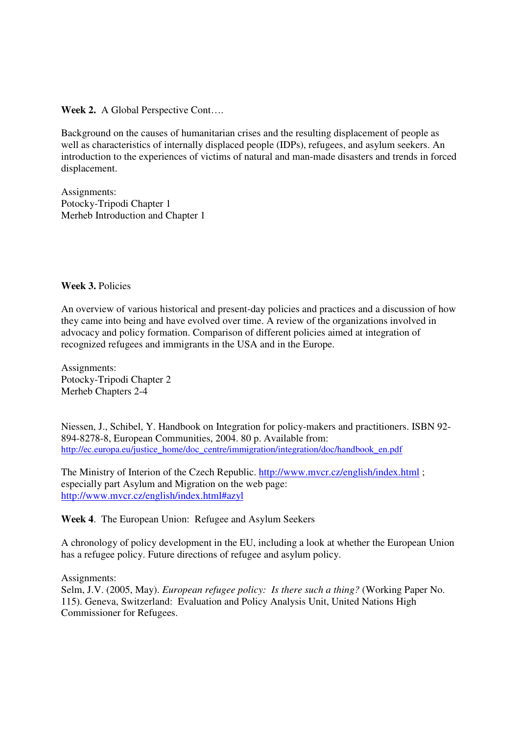**Week 2.** A Global Perspective Cont….

Background on the causes of humanitarian crises and the resulting displacement of people as well as characteristics of internally displaced people (IDPs), refugees, and asylum seekers. An introduction to the experiences of victims of natural and man-made disasters and trends in forced displacement.

Assignments: Potocky-Tripodi Chapter 1 Merheb Introduction and Chapter 1

### **Week 3.** Policies

An overview of various historical and present-day policies and practices and a discussion of how they came into being and have evolved over time. A review of the organizations involved in advocacy and policy formation. Comparison of different policies aimed at integration of recognized refugees and immigrants in the USA and in the Europe.

Assignments: Potocky-Tripodi Chapter 2 Merheb Chapters 2-4

Niessen, J., Schibel, Y. Handbook on Integration for policy-makers and practitioners. ISBN 92- 894-8278-8, European Communities, 2004. 80 p. Available from: http://ec.europa.eu/justice\_home/doc\_centre/immigration/integration/doc/handbook\_en.pdf

The Ministry of Interion of the Czech Republic. http://www.mvcr.cz/english/index.html ; especially part Asylum and Migration on the web page: http://www.mvcr.cz/english/index.html#azyl

### **Week 4**. The European Union: Refugee and Asylum Seekers

A chronology of policy development in the EU, including a look at whether the European Union has a refugee policy. Future directions of refugee and asylum policy.

Assignments:

Selm, J.V. (2005, May). *European refugee policy: Is there such a thing?* (Working Paper No. 115). Geneva, Switzerland: Evaluation and Policy Analysis Unit, United Nations High Commissioner for Refugees.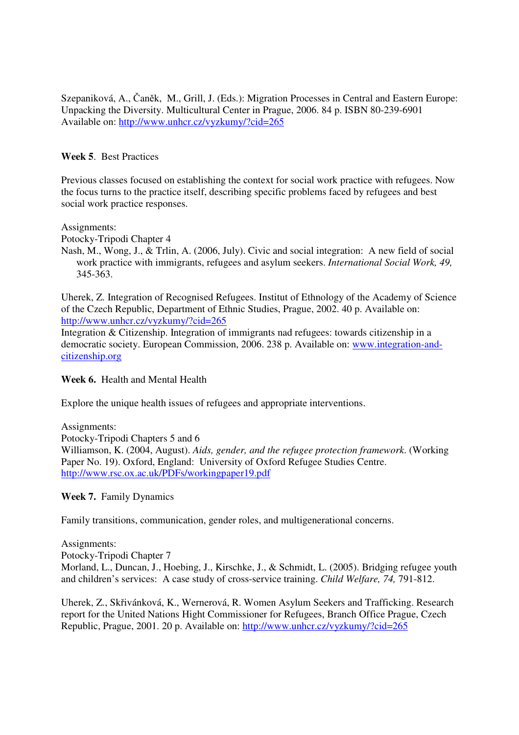Szepaniková, A., Čaněk, M., Grill, J. (Eds.): Migration Processes in Central and Eastern Europe: Unpacking the Diversity. Multicultural Center in Prague, 2006. 84 p. ISBN 80-239-6901 Available on: http://www.unhcr.cz/vyzkumy/?cid=265

# **Week 5**. Best Practices

Previous classes focused on establishing the context for social work practice with refugees. Now the focus turns to the practice itself, describing specific problems faced by refugees and best social work practice responses.

Assignments:

Potocky-Tripodi Chapter 4

Nash, M., Wong, J., & Trlin, A. (2006, July). Civic and social integration: A new field of social work practice with immigrants, refugees and asylum seekers. *International Social Work, 49,*  345-363.

Uherek, Z. Integration of Recognised Refugees. Institut of Ethnology of the Academy of Science of the Czech Republic, Department of Ethnic Studies, Prague, 2002. 40 p. Available on: http://www.unhcr.cz/vyzkumy/?cid=265

Integration & Citizenship. Integration of immigrants nad refugees: towards citizenship in a democratic society. European Commission, 2006. 238 p. Available on: www.integration-andcitizenship.org

### **Week 6.** Health and Mental Health

Explore the unique health issues of refugees and appropriate interventions.

Assignments: Potocky-Tripodi Chapters 5 and 6 Williamson, K. (2004, August). *Aids, gender, and the refugee protection framework*. (Working Paper No. 19). Oxford, England: University of Oxford Refugee Studies Centre. http://www.rsc.ox.ac.uk/PDFs/workingpaper19.pdf

**Week 7.** Family Dynamics

Family transitions, communication, gender roles, and multigenerational concerns.

Assignments: Potocky-Tripodi Chapter 7 Morland, L., Duncan, J., Hoebing, J., Kirschke, J., & Schmidt, L. (2005). Bridging refugee youth and children's services: A case study of cross-service training. *Child Welfare, 74,* 791-812.

Uherek, Z., Skřivánková, K., Wernerová, R. Women Asylum Seekers and Trafficking. Research report for the United Nations Hight Commissioner for Refugees, Branch Office Prague, Czech Republic, Prague, 2001. 20 p. Available on: http://www.unhcr.cz/vyzkumy/?cid=265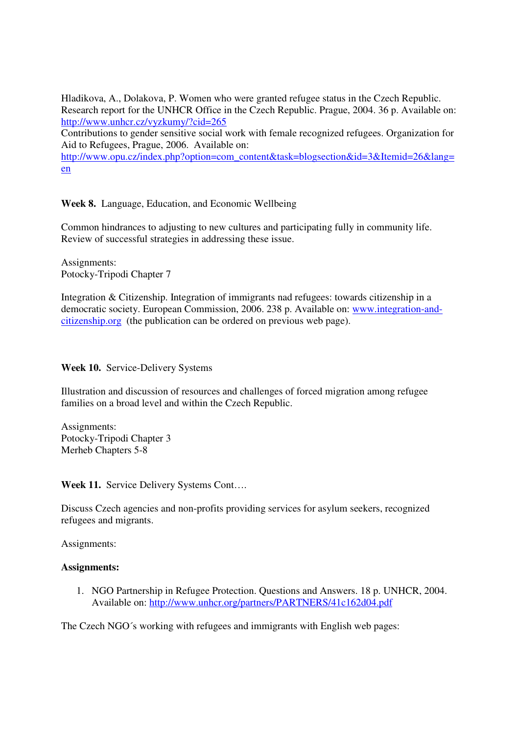Hladikova, A., Dolakova, P. Women who were granted refugee status in the Czech Republic. Research report for the UNHCR Office in the Czech Republic. Prague, 2004. 36 p. Available on: http://www.unhcr.cz/vyzkumy/?cid=265

Contributions to gender sensitive social work with female recognized refugees. Organization for Aid to Refugees, Prague, 2006. Available on:

http://www.opu.cz/index.php?option=com\_content&task=blogsection&id=3&Itemid=26&lang= en

**Week 8.** Language, Education, and Economic Wellbeing

Common hindrances to adjusting to new cultures and participating fully in community life. Review of successful strategies in addressing these issue.

Assignments: Potocky-Tripodi Chapter 7

Integration & Citizenship. Integration of immigrants nad refugees: towards citizenship in a democratic society. European Commission, 2006. 238 p. Available on: www.integration-andcitizenship.org (the publication can be ordered on previous web page).

Week 10. Service-Delivery Systems

Illustration and discussion of resources and challenges of forced migration among refugee families on a broad level and within the Czech Republic.

Assignments: Potocky-Tripodi Chapter 3 Merheb Chapters 5-8

**Week 11.** Service Delivery Systems Cont….

Discuss Czech agencies and non-profits providing services for asylum seekers, recognized refugees and migrants.

Assignments:

#### **Assignments:**

1. NGO Partnership in Refugee Protection. Questions and Answers. 18 p. UNHCR, 2004. Available on: http://www.unhcr.org/partners/PARTNERS/41c162d04.pdf

The Czech NGO´s working with refugees and immigrants with English web pages: